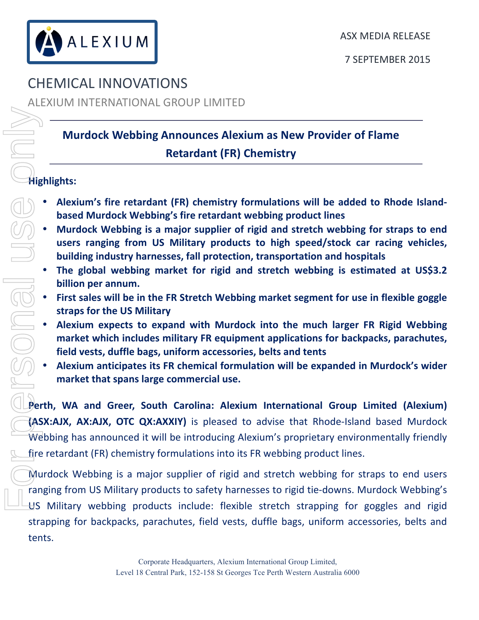

# **CHEMICAL INNOVATIONS**

 ALEXIUM INTERNATIONAL GROUP LIMITED

## **Murdock Webbing Announces Alexium as New Provider of Flame Retardant (FR) Chemistry**

# **Highlights:**

- Alexium's fire retardant (FR) chemistry formulations will be added to Rhode Island**based Murdock Webbing's fire retardant webbing product lines**
- **Murdock Webbing is a major supplier of rigid and stretch webbing for straps to end** users ranging from US Military products to high speed/stock car racing vehicles, **building industry harnesses, fall protection, transportation and hospitals** 
	- The global webbing market for rigid and stretch webbing is estimated at US\$3.2 **billion per annum.**
- First sales will be in the FR Stretch Webbing market segment for use in flexible goggle **straps for the US Military**
- Alexium expects to expand with Murdock into the much larger FR Rigid Webbing **market which includes military FR equipment applications for backpacks, parachutes, field vests, duffle bags, uniform accessories, belts and tents**
- Alexium anticipates its FR chemical formulation will be expanded in Murdock's wider market that spans large commercial use.

Perth, WA and Greer, South Carolina: Alexium International Group Limited (Alexium) **(ASX:AJX, AX:AJX, OTC QX:AXXIY)** is pleased to advise that Rhode-Island based Murdock Webbing has announced it will be introducing Alexium's proprietary environmentally friendly fire retardant (FR) chemistry formulations into its FR webbing product lines.

Murdock Webbing is a major supplier of rigid and stretch webbing for straps to end users ranging from US Military products to safety harnesses to rigid tie-downs. Murdock Webbing's US Military webbing products include: flexible stretch strapping for goggles and rigid strapping for backpacks, parachutes, field vests, duffle bags, uniform accessories, belts and tents.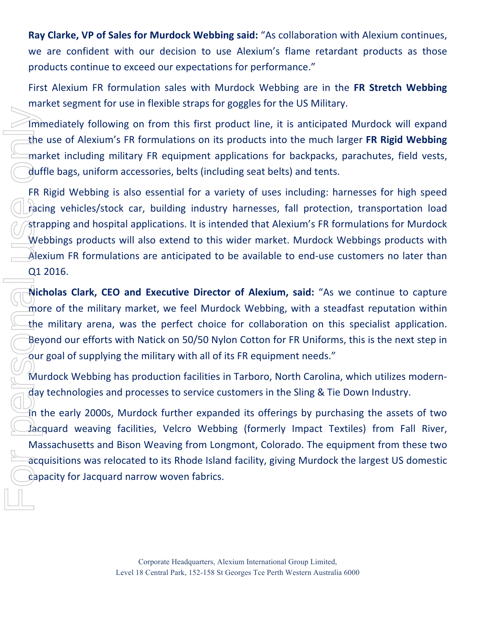**Ray Clarke, VP of Sales for Murdock Webbing said:** "As collaboration with Alexium continues, we are confident with our decision to use Alexium's flame retardant products as those products continue to exceed our expectations for performance."

First Alexium FR formulation sales with Murdock Webbing are in the FR Stretch Webbing market segment for use in flexible straps for goggles for the US Military.

Immediately following on from this first product line, it is anticipated Murdock will expand the use of Alexium's FR formulations on its products into the much larger FR Rigid Webbing market including military FR equipment applications for backpacks, parachutes, field vests, duffle bags, uniform accessories, belts (including seat belts) and tents.

FR Rigid Webbing is also essential for a variety of uses including: harnesses for high speed racing vehicles/stock car, building industry harnesses, fall protection, transportation load strapping and hospital applications. It is intended that Alexium's FR formulations for Murdock Webbings products will also extend to this wider market. Murdock Webbings products with Alexium FR formulations are anticipated to be available to end-use customers no later than Q1 2016. mmediately following on from this first prime use of Alexium's FR formulations on its<br>
market including military FR equipment ap<br>
duffle bags, uniform accessories, belts (inclu<br>
FR Rigid Webbing is also essential for a va<br>

**Nicholas Clark, CEO and Executive Director of Alexium, said:** "As we continue to capture more of the military market, we feel Murdock Webbing, with a steadfast reputation within the military arena, was the perfect choice for collaboration on this specialist application. Beyond our efforts with Natick on 50/50 Nylon Cotton for FR Uniforms, this is the next step in our goal of supplying the military with all of its FR equipment needs."

Murdock Webbing has production facilities in Tarboro, North Carolina, which utilizes modern- $\overline{d}$ ay technologies and processes to service customers in the Sling & Tie Down Industry.

In the early 2000s, Murdock further expanded its offerings by purchasing the assets of two Jacquard weaving facilities, Velcro Webbing (formerly Impact Textiles) from Fall River, Massachusetts and Bison Weaving from Longmont, Colorado. The equipment from these two acquisitions was relocated to its Rhode Island facility, giving Murdock the largest US domestic